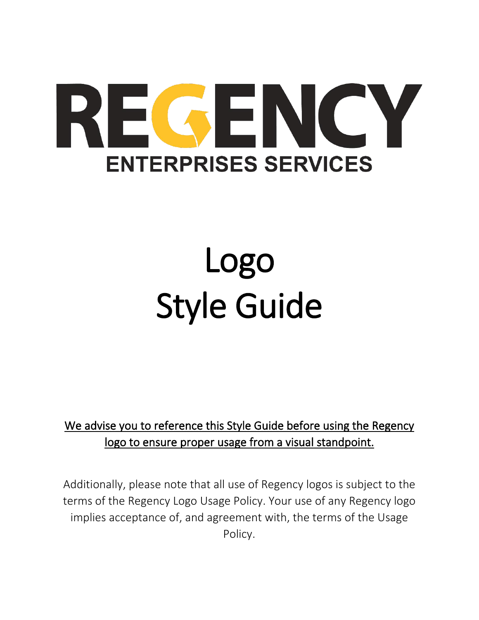# REGENCY **ENTERPRISES SERVICES**

# Logo Style Guide

#### We advise you to reference this Style Guide before using the Regency logo to ensure proper usage from a visual standpoint.

Additionally, please note that all use of Regency logos is subject to the terms of the Regency Logo Usage Policy. Your use of any Regency logo implies acceptance of, and agreement with, the terms of the Usage Policy.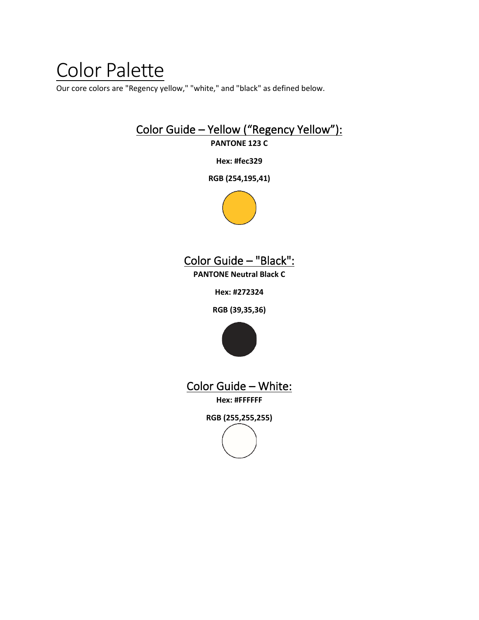### Color Palette

Our core colors are "Regency yellow," "white," and "black" as defined below.

#### Color Guide – Yellow ("Regency Yellow"): **PANTONE 123 C**

**Hex: #fec329**

**RGB (254,195,41)**





**PANTONE Neutral Black C**

**Hex: #272324**

**RGB (39,35,36)**



Color Guide – White:

**Hex: #FFFFFF**

**RGB (255,255,255)**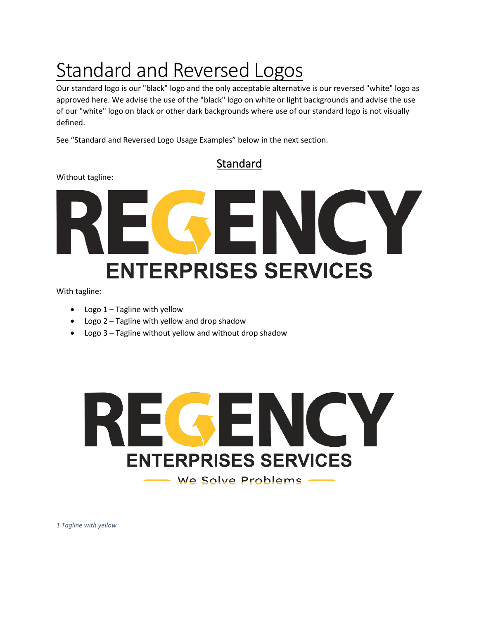## Standard and Reversed Logos

Our standard logo is our "black" logo and the only acceptable alternative is our reversed "white" logo as approved here. We advise the use of the "black" logo on white or light backgrounds and advise the use of our "white" logo on black or other dark backgrounds where use of our standard logo is not visually defined.

See "Standard and Reversed Logo Usage Examples" below in the next section.

Standard

Without tagline:

## GEN  $\overline{\mathbf{C}}$ Y **ENTERPRISES SERVICES**

With tagline:

- Logo 1 Tagline with yellow
- Logo 2 Tagline with yellow and drop shadow
- Logo 3 Tagline without yellow and without drop shadow



*1 Tagline with yellow*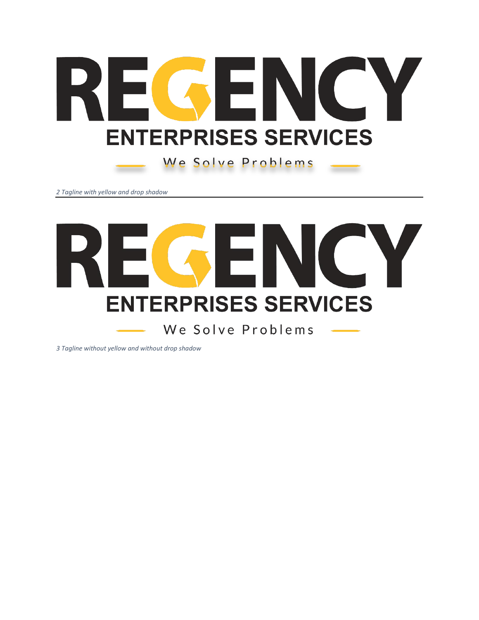

We Solve Problems

*Tagline with yellow and drop shadow*



*Tagline without yellow and without drop shadow*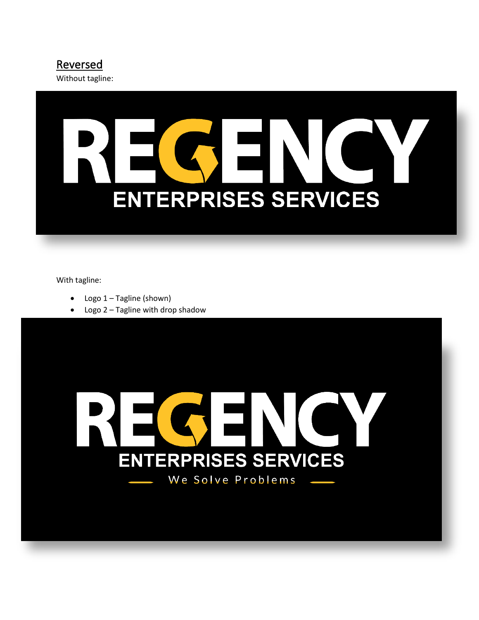

Without tagline:

# **ENTERPRISES SERVICES**

With tagline:

- Logo 1 Tagline (shown)
- Logo 2 Tagline with drop shadow